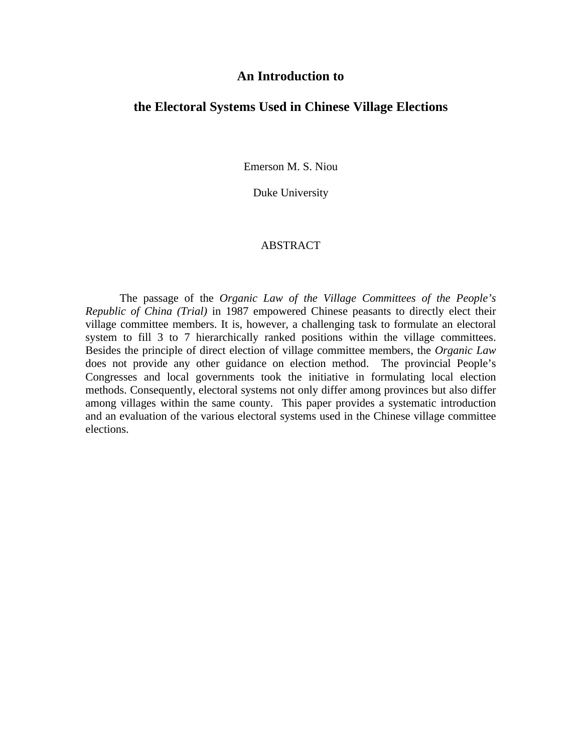#### **An Introduction to**

#### **the Electoral Systems Used in Chinese Village Elections**

Emerson M. S. Niou

Duke University

#### ABSTRACT

The passage of the *Organic Law of the Village Committees of the People's Republic of China (Trial)* in 1987 empowered Chinese peasants to directly elect their village committee members. It is, however, a challenging task to formulate an electoral system to fill 3 to 7 hierarchically ranked positions within the village committees. Besides the principle of direct election of village committee members, the *Organic Law* does not provide any other guidance on election method. The provincial People's Congresses and local governments took the initiative in formulating local election methods. Consequently, electoral systems not only differ among provinces but also differ among villages within the same county. This paper provides a systematic introduction and an evaluation of the various electoral systems used in the Chinese village committee elections.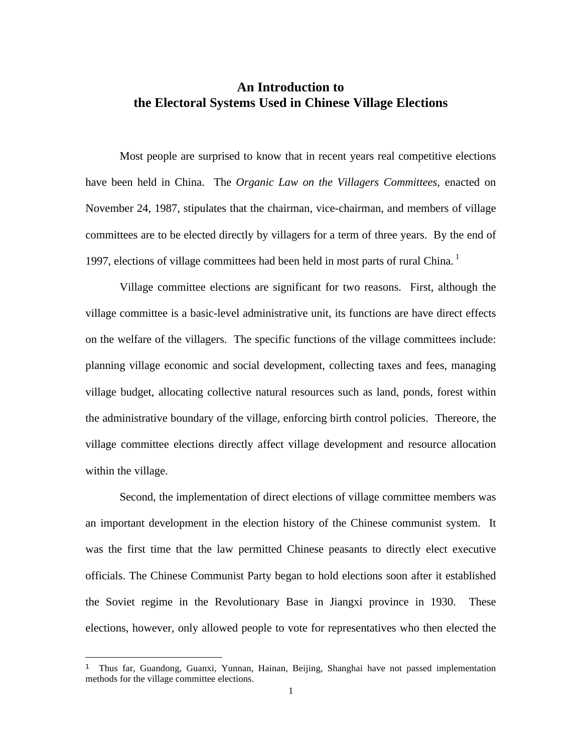#### **An Introduction to the Electoral Systems Used in Chinese Village Elections**

Most people are surprised to know that in recent years real competitive elections have been held in China. The *Organic Law on the Villagers Committees*, enacted on November 24, 1987, stipulates that the chairman, vice-chairman, and members of village committees are to be elected directly by villagers for a term of three years. By the end of 1997, elections of village committees had been held in most parts of rural China.

Village committee elections are significant for two reasons. First, although the village committee is a basic-level administrative unit, its functions are have direct effects on the welfare of the villagers. The specific functions of the village committees include: planning village economic and social development, collecting taxes and fees, managing village budget, allocating collective natural resources such as land, ponds, forest within the administrative boundary of the village, enforcing birth control policies. Thereore, the village committee elections directly affect village development and resource allocation within the village.

Second, the implementation of direct elections of village committee members was an important development in the election history of the Chinese communist system. It was the first time that the law permitted Chinese peasants to directly elect executive officials. The Chinese Communist Party began to hold elections soon after it established the Soviet regime in the Revolutionary Base in Jiangxi province in 1930. These elections, however, only allowed people to vote for representatives who then elected the

 $\overline{a}$ 

<sup>1</sup> Thus far, Guandong, Guanxi, Yunnan, Hainan, Beijing, Shanghai have not passed implementation methods for the village committee elections.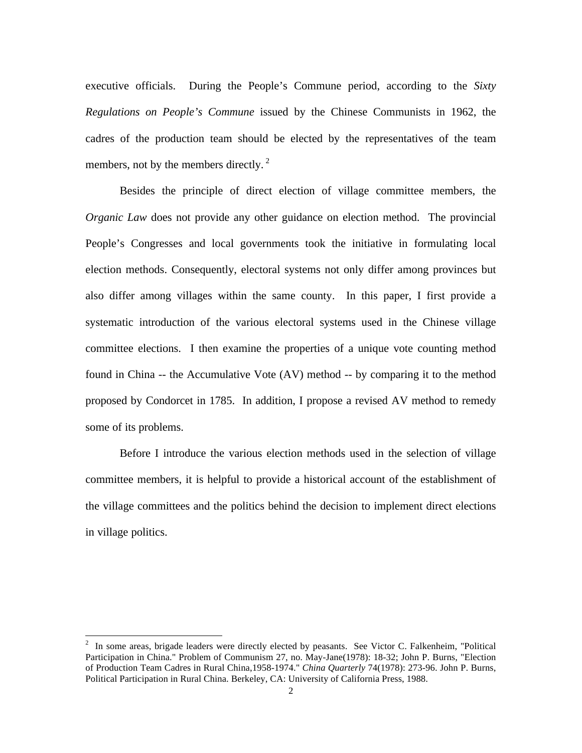executive officials. During the People's Commune period, according to the *Sixty Regulations on People's Commune* issued by the Chinese Communists in 1962, the cadres of the production team should be elected by the representatives of the team members, not by the members directly. $2$ 

Besides the principle of direct election of village committee members, the *Organic Law* does not provide any other guidance on election method. The provincial People's Congresses and local governments took the initiative in formulating local election methods. Consequently, electoral systems not only differ among provinces but also differ among villages within the same county. In this paper, I first provide a systematic introduction of the various electoral systems used in the Chinese village committee elections. I then examine the properties of a unique vote counting method found in China -- the Accumulative Vote (AV) method -- by comparing it to the method proposed by Condorcet in 1785. In addition, I propose a revised AV method to remedy some of its problems.

Before I introduce the various election methods used in the selection of village committee members, it is helpful to provide a historical account of the establishment of the village committees and the politics behind the decision to implement direct elections in village politics.

<sup>&</sup>lt;sup>2</sup> In some areas, brigade leaders were directly elected by peasants. See Victor C. Falkenheim, "Political Participation in China." Problem of Communism 27, no. May-Jane(1978): 18-32; John P. Burns, "Election of Production Team Cadres in Rural China,1958-1974." *China Quarterly* 74(1978): 273-96. John P. Burns, Political Participation in Rural China. Berkeley, CA: University of California Press, 1988.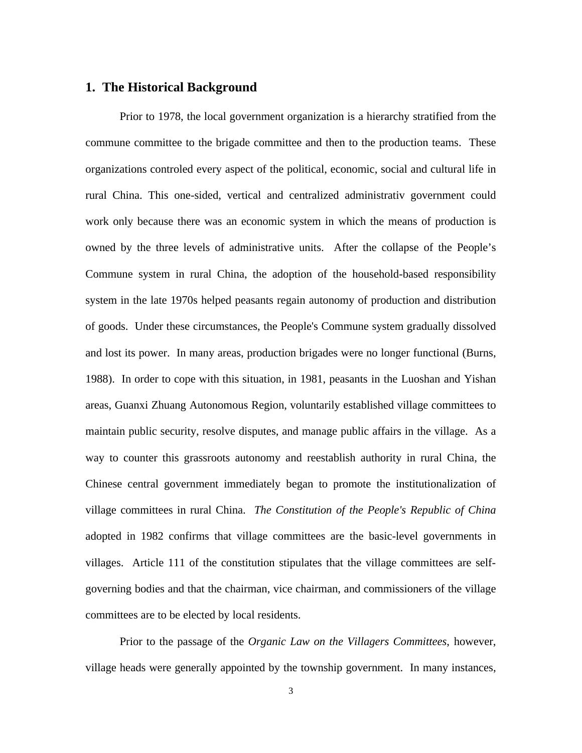#### **1. The Historical Background**

Prior to 1978, the local government organization is a hierarchy stratified from the commune committee to the brigade committee and then to the production teams. These organizations controled every aspect of the political, economic, social and cultural life in rural China. This one-sided, vertical and centralized administrativ government could work only because there was an economic system in which the means of production is owned by the three levels of administrative units. After the collapse of the People's Commune system in rural China, the adoption of the household-based responsibility system in the late 1970s helped peasants regain autonomy of production and distribution of goods. Under these circumstances, the People's Commune system gradually dissolved and lost its power. In many areas, production brigades were no longer functional (Burns, 1988). In order to cope with this situation, in 1981, peasants in the Luoshan and Yishan areas, Guanxi Zhuang Autonomous Region, voluntarily established village committees to maintain public security, resolve disputes, and manage public affairs in the village. As a way to counter this grassroots autonomy and reestablish authority in rural China, the Chinese central government immediately began to promote the institutionalization of village committees in rural China. *The Constitution of the People's Republic of China* adopted in 1982 confirms that village committees are the basic-level governments in villages. Article 111 of the constitution stipulates that the village committees are selfgoverning bodies and that the chairman, vice chairman, and commissioners of the village committees are to be elected by local residents.

Prior to the passage of the *Organic Law on the Villagers Committees*, however, village heads were generally appointed by the township government. In many instances,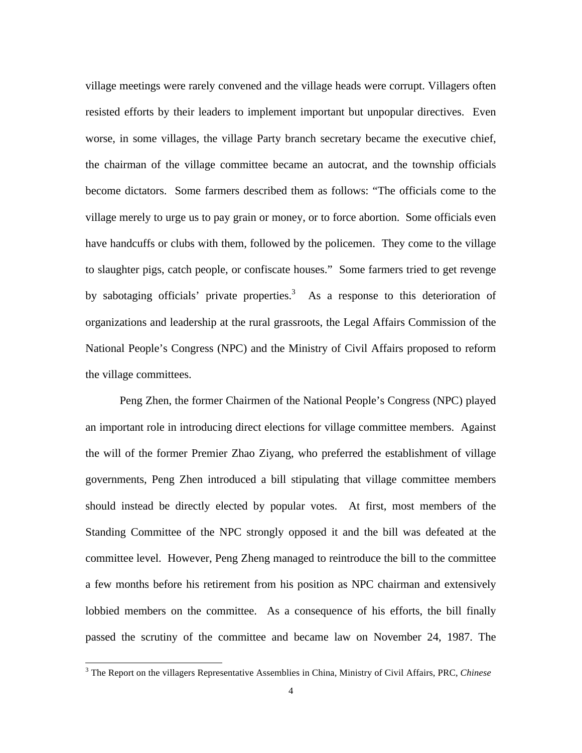village meetings were rarely convened and the village heads were corrupt. Villagers often resisted efforts by their leaders to implement important but unpopular directives. Even worse, in some villages, the village Party branch secretary became the executive chief, the chairman of the village committee became an autocrat, and the township officials become dictators. Some farmers described them as follows: "The officials come to the village merely to urge us to pay grain or money, or to force abortion. Some officials even have handcuffs or clubs with them, followed by the policemen. They come to the village to slaughter pigs, catch people, or confiscate houses." Some farmers tried to get revenge by sabotaging officials' private properties.<sup>3</sup> As a response to this deterioration of organizations and leadership at the rural grassroots, the Legal Affairs Commission of the National People's Congress (NPC) and the Ministry of Civil Affairs proposed to reform the village committees.

Peng Zhen, the former Chairmen of the National People's Congress (NPC) played an important role in introducing direct elections for village committee members. Against the will of the former Premier Zhao Ziyang, who preferred the establishment of village governments, Peng Zhen introduced a bill stipulating that village committee members should instead be directly elected by popular votes. At first, most members of the Standing Committee of the NPC strongly opposed it and the bill was defeated at the committee level. However, Peng Zheng managed to reintroduce the bill to the committee a few months before his retirement from his position as NPC chairman and extensively lobbied members on the committee. As a consequence of his efforts, the bill finally passed the scrutiny of the committee and became law on November 24, 1987. The

 3 The Report on the villagers Representative Assemblies in China, Ministry of Civil Affairs, PRC, *Chinese*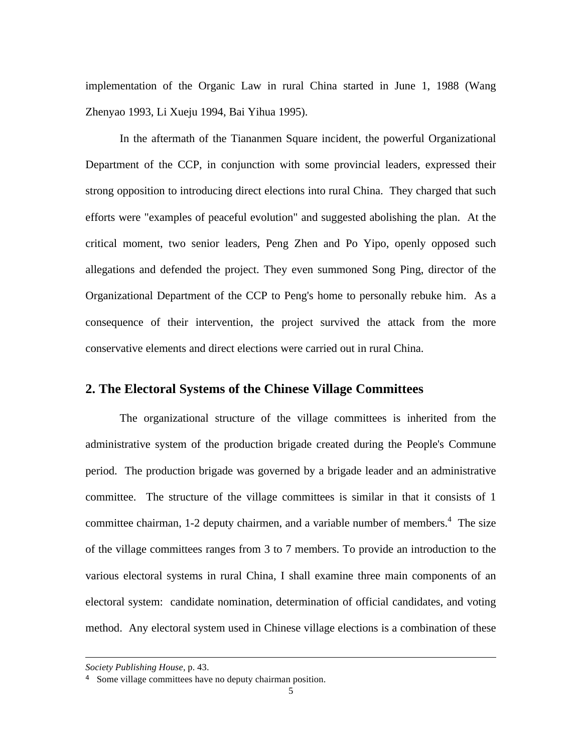implementation of the Organic Law in rural China started in June 1, 1988 (Wang Zhenyao 1993, Li Xueju 1994, Bai Yihua 1995).

In the aftermath of the Tiananmen Square incident, the powerful Organizational Department of the CCP, in conjunction with some provincial leaders, expressed their strong opposition to introducing direct elections into rural China. They charged that such efforts were "examples of peaceful evolution" and suggested abolishing the plan. At the critical moment, two senior leaders, Peng Zhen and Po Yipo, openly opposed such allegations and defended the project. They even summoned Song Ping, director of the Organizational Department of the CCP to Peng's home to personally rebuke him. As a consequence of their intervention, the project survived the attack from the more conservative elements and direct elections were carried out in rural China.

#### **2. The Electoral Systems of the Chinese Village Committees**

The organizational structure of the village committees is inherited from the administrative system of the production brigade created during the People's Commune period. The production brigade was governed by a brigade leader and an administrative committee. The structure of the village committees is similar in that it consists of 1 committee chairman, 1-2 deputy chairmen, and a variable number of members.<sup>4</sup> The size of the village committees ranges from 3 to 7 members. To provide an introduction to the various electoral systems in rural China, I shall examine three main components of an electoral system: candidate nomination, determination of official candidates, and voting method. Any electoral system used in Chinese village elections is a combination of these

-

*Society Publishing House*, p. 43.

<sup>4</sup> Some village committees have no deputy chairman position.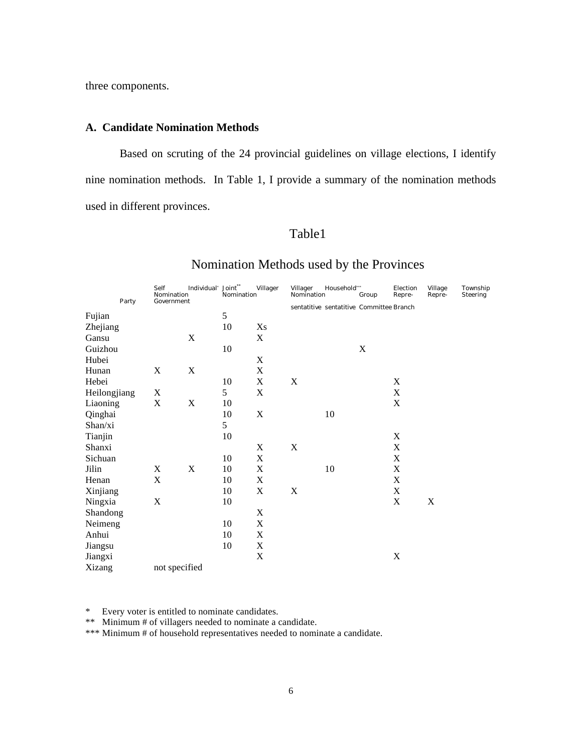three components.

#### **A. Candidate Nomination Methods**

Based on scruting of the 24 provincial guidelines on village elections, I identify nine nomination methods. In Table 1, I provide a summary of the nomination methods used in different provinces.

#### Table1

|              | Party | Self<br>Nomination<br>Government | Individual' Joint" | Nomination | Villager                  | Villager<br>Nomination | Household"                               | Group | Election<br>Repre- | Village<br>Repre- | Township<br>Steering |
|--------------|-------|----------------------------------|--------------------|------------|---------------------------|------------------------|------------------------------------------|-------|--------------------|-------------------|----------------------|
|              |       |                                  |                    |            |                           |                        | sentatitive sentatitive Committee Branch |       |                    |                   |                      |
| Fujian       |       |                                  |                    | 5          |                           |                        |                                          |       |                    |                   |                      |
| Zhejiang     |       |                                  |                    | 10         | Xs                        |                        |                                          |       |                    |                   |                      |
| Gansu        |       |                                  | X                  |            | X                         |                        |                                          |       |                    |                   |                      |
| Guizhou      |       |                                  |                    | 10         |                           |                        |                                          | X     |                    |                   |                      |
| Hubei        |       |                                  |                    |            | $\boldsymbol{\mathrm{X}}$ |                        |                                          |       |                    |                   |                      |
| Hunan        |       | $\mathbf X$                      | $\mathbf X$        |            | X                         |                        |                                          |       |                    |                   |                      |
| Hebei        |       |                                  |                    | 10         | X                         | $\mathbf X$            |                                          |       | $\mathbf X$        |                   |                      |
| Heilongjiang |       | X                                |                    | 5          | $\boldsymbol{\mathrm{X}}$ |                        |                                          |       | $\mathbf X$        |                   |                      |
| Liaoning     |       | $\mathbf X$                      | $\mathbf X$        | 10         |                           |                        |                                          |       | $\mathbf X$        |                   |                      |
| Qinghai      |       |                                  |                    | 10         | $\mathbf X$               |                        | 10                                       |       |                    |                   |                      |
| Shan/xi      |       |                                  |                    | 5          |                           |                        |                                          |       |                    |                   |                      |
| Tianjin      |       |                                  |                    | 10         |                           |                        |                                          |       | $\mathbf X$        |                   |                      |
| Shanxi       |       |                                  |                    |            | $\mathbf X$               | $\mathbf X$            |                                          |       | $\mathbf X$        |                   |                      |
| Sichuan      |       |                                  |                    | 10         | X                         |                        |                                          |       | $\mathbf X$        |                   |                      |
| Jilin        |       | X                                | $\mathbf X$        | 10         | $\mathbf X$               |                        | 10                                       |       | $\mathbf X$        |                   |                      |
| Henan        |       | X                                |                    | 10         | $\mathbf X$               |                        |                                          |       | $\mathbf X$        |                   |                      |
| Xinjiang     |       |                                  |                    | 10         | $\mathbf X$               | $\mathbf X$            |                                          |       | $\mathbf X$        |                   |                      |
| Ningxia      |       | $\mathbf X$                      |                    | 10         |                           |                        |                                          |       | $\mathbf X$        | $\mathbf X$       |                      |
| Shandong     |       |                                  |                    |            | X                         |                        |                                          |       |                    |                   |                      |
| Neimeng      |       |                                  |                    | 10         | $\mathbf X$               |                        |                                          |       |                    |                   |                      |
| Anhui        |       |                                  |                    | 10         | $\mathbf X$               |                        |                                          |       |                    |                   |                      |
| Jiangsu      |       |                                  |                    | 10         | X                         |                        |                                          |       |                    |                   |                      |
| Jiangxi      |       |                                  |                    |            | $\mathbf X$               |                        |                                          |       | $\mathbf X$        |                   |                      |
| Xizang       |       | not specified                    |                    |            |                           |                        |                                          |       |                    |                   |                      |

#### Nomination Methods used by the Provinces

\* Every voter is entitled to nominate candidates.

\*\* Minimum # of villagers needed to nominate a candidate.

\*\*\* Minimum # of household representatives needed to nominate a candidate.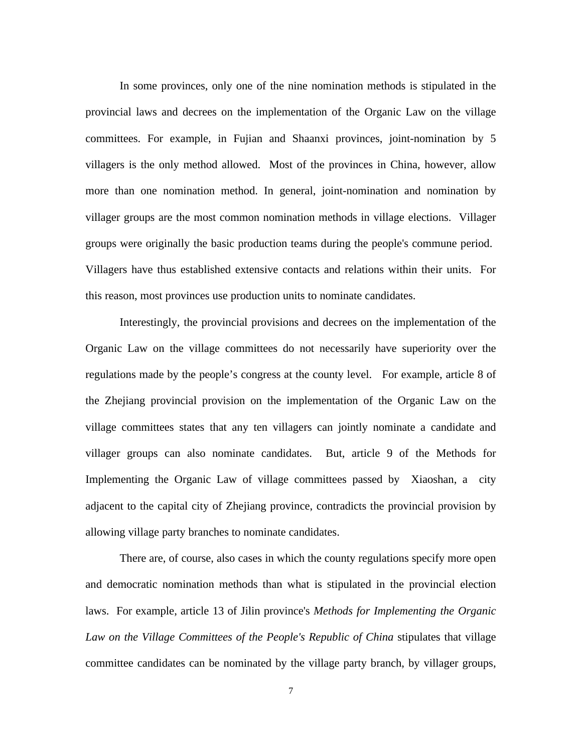In some provinces, only one of the nine nomination methods is stipulated in the provincial laws and decrees on the implementation of the Organic Law on the village committees. For example, in Fujian and Shaanxi provinces, joint-nomination by 5 villagers is the only method allowed. Most of the provinces in China, however, allow more than one nomination method. In general, joint-nomination and nomination by villager groups are the most common nomination methods in village elections. Villager groups were originally the basic production teams during the people's commune period. Villagers have thus established extensive contacts and relations within their units. For this reason, most provinces use production units to nominate candidates.

Interestingly, the provincial provisions and decrees on the implementation of the Organic Law on the village committees do not necessarily have superiority over the regulations made by the people's congress at the county level. For example, article 8 of the Zhejiang provincial provision on the implementation of the Organic Law on the village committees states that any ten villagers can jointly nominate a candidate and villager groups can also nominate candidates. But, article 9 of the Methods for Implementing the Organic Law of village committees passed by Xiaoshan, a city adjacent to the capital city of Zhejiang province, contradicts the provincial provision by allowing village party branches to nominate candidates.

There are, of course, also cases in which the county regulations specify more open and democratic nomination methods than what is stipulated in the provincial election laws. For example, article 13 of Jilin province's *Methods for Implementing the Organic Law on the Village Committees of the People's Republic of China* stipulates that village committee candidates can be nominated by the village party branch, by villager groups,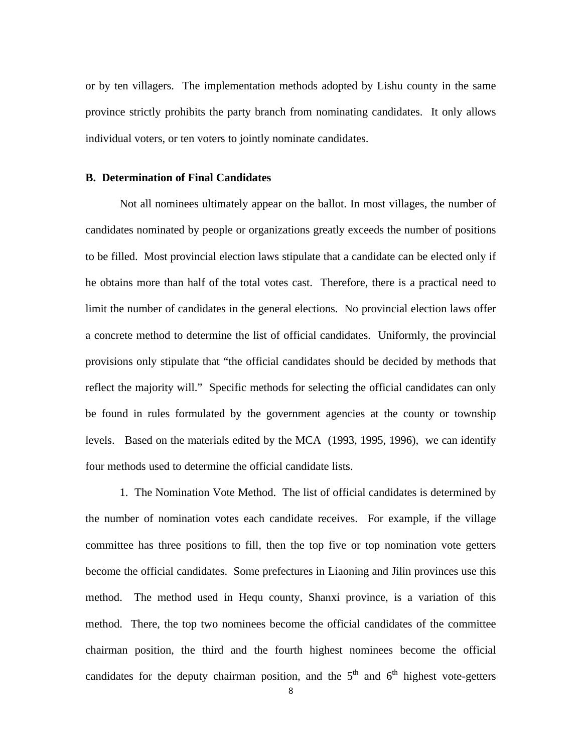or by ten villagers. The implementation methods adopted by Lishu county in the same province strictly prohibits the party branch from nominating candidates. It only allows individual voters, or ten voters to jointly nominate candidates.

#### **B. Determination of Final Candidates**

Not all nominees ultimately appear on the ballot. In most villages, the number of candidates nominated by people or organizations greatly exceeds the number of positions to be filled. Most provincial election laws stipulate that a candidate can be elected only if he obtains more than half of the total votes cast. Therefore, there is a practical need to limit the number of candidates in the general elections. No provincial election laws offer a concrete method to determine the list of official candidates. Uniformly, the provincial provisions only stipulate that "the official candidates should be decided by methods that reflect the majority will." Specific methods for selecting the official candidates can only be found in rules formulated by the government agencies at the county or township levels. Based on the materials edited by the MCA (1993, 1995, 1996), we can identify four methods used to determine the official candidate lists.

1. The Nomination Vote Method. The list of official candidates is determined by the number of nomination votes each candidate receives. For example, if the village committee has three positions to fill, then the top five or top nomination vote getters become the official candidates. Some prefectures in Liaoning and Jilin provinces use this method. The method used in Hequ county, Shanxi province, is a variation of this method. There, the top two nominees become the official candidates of the committee chairman position, the third and the fourth highest nominees become the official candidates for the deputy chairman position, and the  $5<sup>th</sup>$  and  $6<sup>th</sup>$  highest vote-getters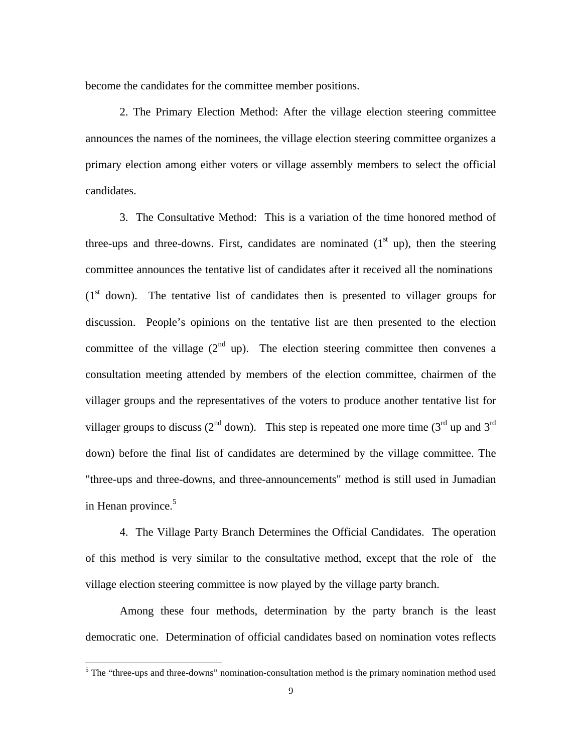become the candidates for the committee member positions.

2. The Primary Election Method: After the village election steering committee announces the names of the nominees, the village election steering committee organizes a primary election among either voters or village assembly members to select the official candidates.

3. The Consultative Method: This is a variation of the time honored method of three-ups and three-downs. First, candidates are nominated  $(1<sup>st</sup>$ up), then the steering committee announces the tentative list of candidates after it received all the nominations  $(1<sup>st</sup> down)$ . The tentative list of candidates then is presented to villager groups for discussion. People's opinions on the tentative list are then presented to the election committee of the village  $(2^{nd}$  up). The election steering committee then convenes a consultation meeting attended by members of the election committee, chairmen of the villager groups and the representatives of the voters to produce another tentative list for villager groups to discuss ( $2<sup>nd</sup>$  down). This step is repeated one more time ( $3<sup>rd</sup>$  up and  $3<sup>rd</sup>$ down) before the final list of candidates are determined by the village committee. The "three-ups and three-downs, and three-announcements" method is still used in Jumadian in Henan province.<sup>5</sup>

4. The Village Party Branch Determines the Official Candidates. The operation of this method is very similar to the consultative method, except that the role of the village election steering committee is now played by the village party branch.

Among these four methods, determination by the party branch is the least democratic one. Determination of official candidates based on nomination votes reflects

<sup>&</sup>lt;sup>5</sup> The "three-ups and three-downs" nomination-consultation method is the primary nomination method used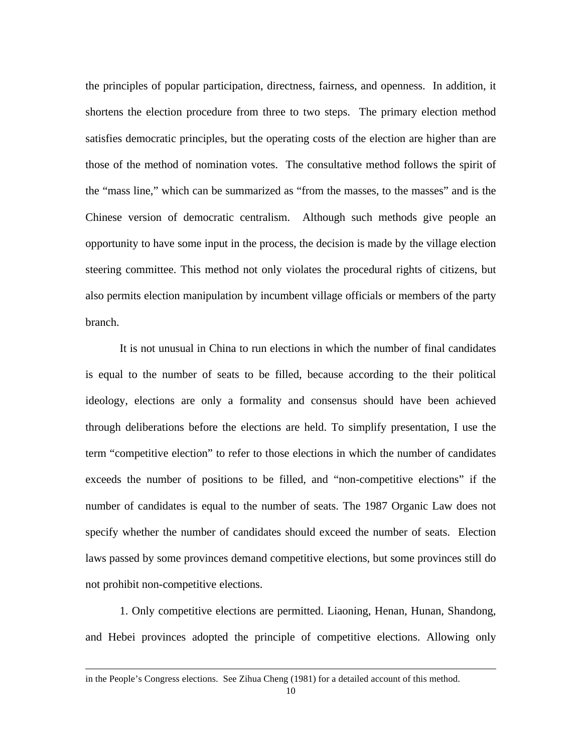the principles of popular participation, directness, fairness, and openness. In addition, it shortens the election procedure from three to two steps. The primary election method satisfies democratic principles, but the operating costs of the election are higher than are those of the method of nomination votes. The consultative method follows the spirit of the "mass line," which can be summarized as "from the masses, to the masses" and is the Chinese version of democratic centralism. Although such methods give people an opportunity to have some input in the process, the decision is made by the village election steering committee. This method not only violates the procedural rights of citizens, but also permits election manipulation by incumbent village officials or members of the party branch.

It is not unusual in China to run elections in which the number of final candidates is equal to the number of seats to be filled, because according to the their political ideology, elections are only a formality and consensus should have been achieved through deliberations before the elections are held. To simplify presentation, I use the term "competitive election" to refer to those elections in which the number of candidates exceeds the number of positions to be filled, and "non-competitive elections" if the number of candidates is equal to the number of seats. The 1987 Organic Law does not specify whether the number of candidates should exceed the number of seats. Election laws passed by some provinces demand competitive elections, but some provinces still do not prohibit non-competitive elections.

1. Only competitive elections are permitted. Liaoning, Henan, Hunan, Shandong, and Hebei provinces adopted the principle of competitive elections. Allowing only

 $\overline{a}$ 

in the People's Congress elections. See Zihua Cheng (1981) for a detailed account of this method.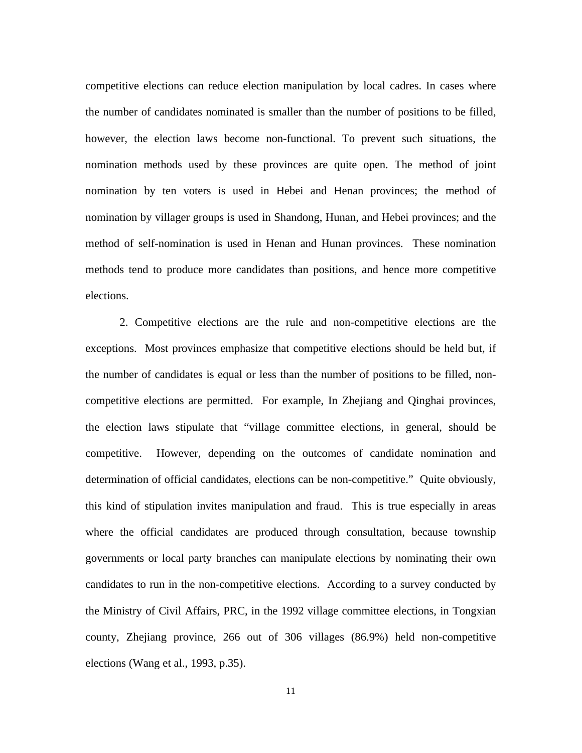competitive elections can reduce election manipulation by local cadres. In cases where the number of candidates nominated is smaller than the number of positions to be filled, however, the election laws become non-functional. To prevent such situations, the nomination methods used by these provinces are quite open. The method of joint nomination by ten voters is used in Hebei and Henan provinces; the method of nomination by villager groups is used in Shandong, Hunan, and Hebei provinces; and the method of self-nomination is used in Henan and Hunan provinces. These nomination methods tend to produce more candidates than positions, and hence more competitive elections.

2. Competitive elections are the rule and non-competitive elections are the exceptions. Most provinces emphasize that competitive elections should be held but, if the number of candidates is equal or less than the number of positions to be filled, noncompetitive elections are permitted. For example, In Zhejiang and Qinghai provinces, the election laws stipulate that "village committee elections, in general, should be competitive. However, depending on the outcomes of candidate nomination and determination of official candidates, elections can be non-competitive." Quite obviously, this kind of stipulation invites manipulation and fraud. This is true especially in areas where the official candidates are produced through consultation, because township governments or local party branches can manipulate elections by nominating their own candidates to run in the non-competitive elections. According to a survey conducted by the Ministry of Civil Affairs, PRC, in the 1992 village committee elections, in Tongxian county, Zhejiang province, 266 out of 306 villages (86.9%) held non-competitive elections (Wang et al., 1993, p.35).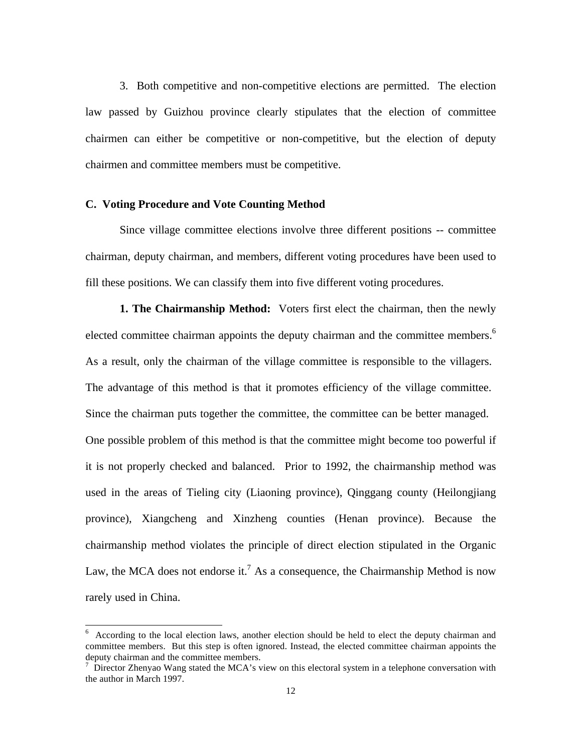3. Both competitive and non-competitive elections are permitted. The election law passed by Guizhou province clearly stipulates that the election of committee chairmen can either be competitive or non-competitive, but the election of deputy chairmen and committee members must be competitive.

#### **C. Voting Procedure and Vote Counting Method**

Since village committee elections involve three different positions -- committee chairman, deputy chairman, and members, different voting procedures have been used to fill these positions. We can classify them into five different voting procedures.

**1. The Chairmanship Method:** Voters first elect the chairman, then the newly elected committee chairman appoints the deputy chairman and the committee members.<sup>6</sup> As a result, only the chairman of the village committee is responsible to the villagers. The advantage of this method is that it promotes efficiency of the village committee. Since the chairman puts together the committee, the committee can be better managed. One possible problem of this method is that the committee might become too powerful if it is not properly checked and balanced.Prior to 1992, the chairmanship method was used in the areas of Tieling city (Liaoning province), Qinggang county (Heilongjiang province), Xiangcheng and Xinzheng counties (Henan province). Because the chairmanship method violates the principle of direct election stipulated in the Organic Law, the MCA does not endorse it.<sup>7</sup> As a consequence, the Chairmanship Method is now rarely used in China.

<sup>&</sup>lt;sup>6</sup> According to the local election laws, another election should be held to elect the deputy chairman and committee members. But this step is often ignored. Instead, the elected committee chairman appoints the deputy chairman and the committee members.<br><sup>7</sup> Director Zhenyao Wang stated the MCA's view on this electoral system in a telephone conversation with

the author in March 1997.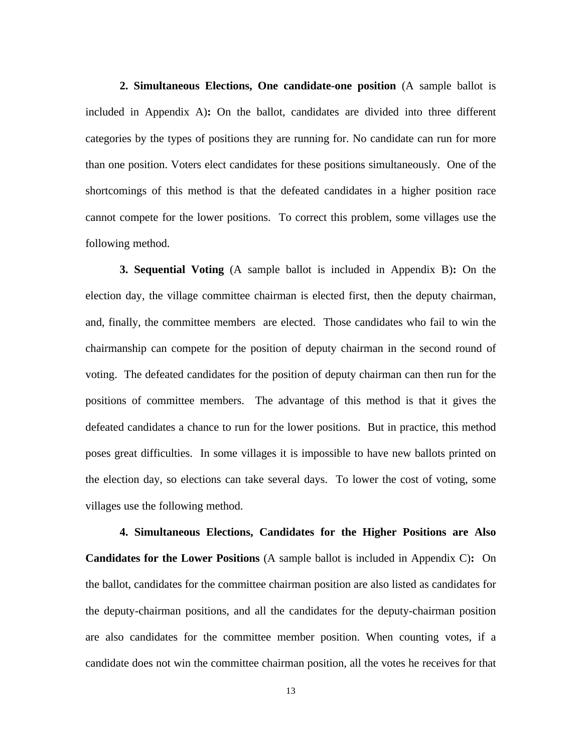**2. Simultaneous Elections, One candidate-one position** (A sample ballot is included in Appendix A)**:** On the ballot, candidates are divided into three different categories by the types of positions they are running for. No candidate can run for more than one position. Voters elect candidates for these positions simultaneously. One of the shortcomings of this method is that the defeated candidates in a higher position race cannot compete for the lower positions. To correct this problem, some villages use the following method.

**3. Sequential Voting** (A sample ballot is included in Appendix B)**:** On the election day, the village committee chairman is elected first, then the deputy chairman, and, finally, the committee members are elected. Those candidates who fail to win the chairmanship can compete for the position of deputy chairman in the second round of voting. The defeated candidates for the position of deputy chairman can then run for the positions of committee members. The advantage of this method is that it gives the defeated candidates a chance to run for the lower positions. But in practice, this method poses great difficulties. In some villages it is impossible to have new ballots printed on the election day, so elections can take several days. To lower the cost of voting, some villages use the following method.

**4. Simultaneous Elections, Candidates for the Higher Positions are Also Candidates for the Lower Positions** (A sample ballot is included in Appendix C)**:** On the ballot, candidates for the committee chairman position are also listed as candidates for the deputy-chairman positions, and all the candidates for the deputy-chairman position are also candidates for the committee member position. When counting votes, if a candidate does not win the committee chairman position, all the votes he receives for that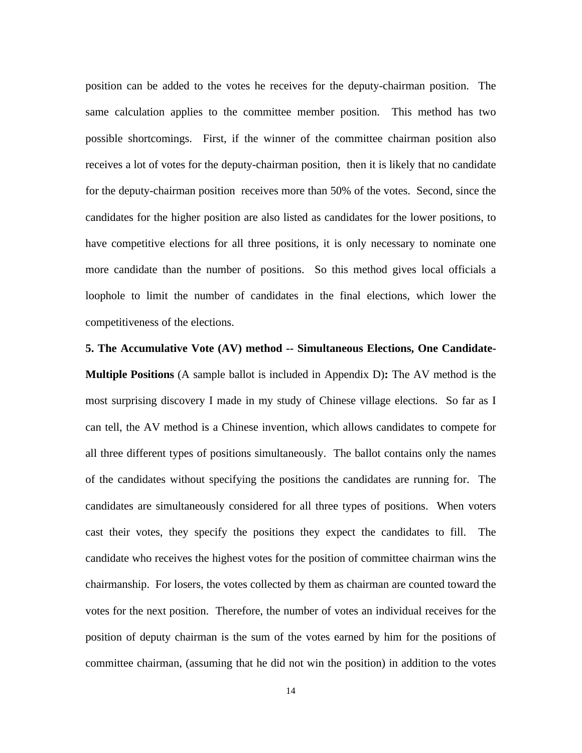position can be added to the votes he receives for the deputy-chairman position. The same calculation applies to the committee member position. This method has two possible shortcomings. First, if the winner of the committee chairman position also receives a lot of votes for the deputy-chairman position, then it is likely that no candidate for the deputy-chairman position receives more than 50% of the votes. Second, since the candidates for the higher position are also listed as candidates for the lower positions, to have competitive elections for all three positions, it is only necessary to nominate one more candidate than the number of positions. So this method gives local officials a loophole to limit the number of candidates in the final elections, which lower the competitiveness of the elections.

# **5. The Accumulative Vote (AV) method -- Simultaneous Elections, One Candidate-Multiple Positions** (A sample ballot is included in Appendix D)**:** The AV method is the most surprising discovery I made in my study of Chinese village elections. So far as I can tell, the AV method is a Chinese invention, which allows candidates to compete for all three different types of positions simultaneously. The ballot contains only the names of the candidates without specifying the positions the candidates are running for. The candidates are simultaneously considered for all three types of positions. When voters cast their votes, they specify the positions they expect the candidates to fill. The candidate who receives the highest votes for the position of committee chairman wins the chairmanship. For losers, the votes collected by them as chairman are counted toward the votes for the next position. Therefore, the number of votes an individual receives for the position of deputy chairman is the sum of the votes earned by him for the positions of committee chairman, (assuming that he did not win the position) in addition to the votes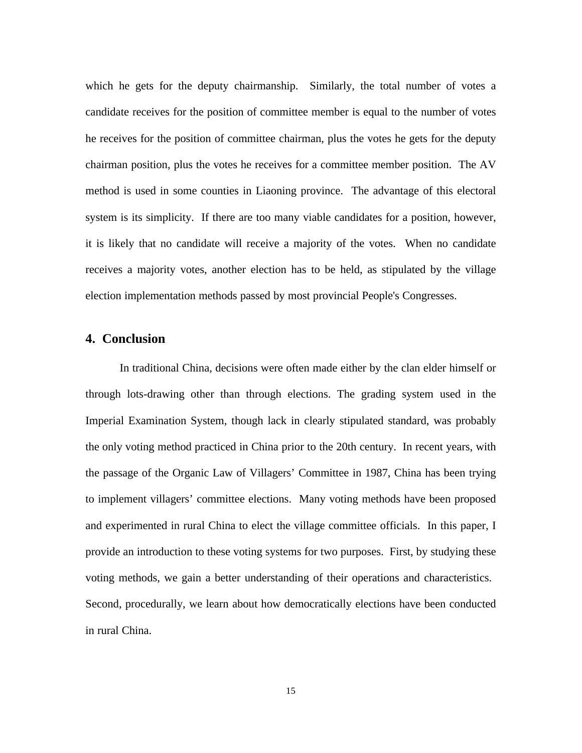which he gets for the deputy chairmanship. Similarly, the total number of votes a candidate receives for the position of committee member is equal to the number of votes he receives for the position of committee chairman, plus the votes he gets for the deputy chairman position, plus the votes he receives for a committee member position. The AV method is used in some counties in Liaoning province. The advantage of this electoral system is its simplicity. If there are too many viable candidates for a position, however, it is likely that no candidate will receive a majority of the votes. When no candidate receives a majority votes, another election has to be held, as stipulated by the village election implementation methods passed by most provincial People's Congresses.

#### **4. Conclusion**

In traditional China, decisions were often made either by the clan elder himself or through lots-drawing other than through elections. The grading system used in the Imperial Examination System, though lack in clearly stipulated standard, was probably the only voting method practiced in China prior to the 20th century. In recent years, with the passage of the Organic Law of Villagers' Committee in 1987, China has been trying to implement villagers' committee elections. Many voting methods have been proposed and experimented in rural China to elect the village committee officials. In this paper, I provide an introduction to these voting systems for two purposes. First, by studying these voting methods, we gain a better understanding of their operations and characteristics. Second, procedurally, we learn about how democratically elections have been conducted in rural China.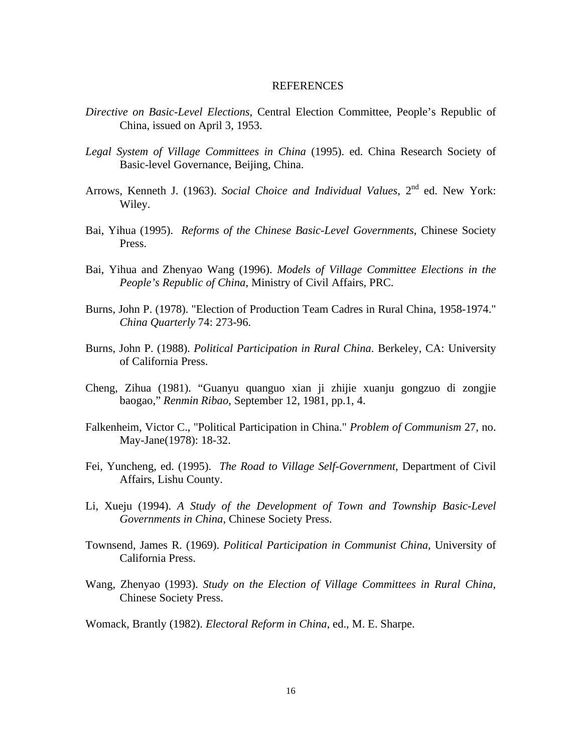#### REFERENCES

- *Directive on Basic-Level Elections*, Central Election Committee, People's Republic of China, issued on April 3, 1953.
- *Legal System of Village Committees in China* (1995). ed. China Research Society of Basic-level Governance, Beijing, China.
- Arrows, Kenneth J. (1963). *Social Choice and Individual Values*, 2<sup>nd</sup> ed. New York: Wiley.
- Bai, Yihua (1995). *Reforms of the Chinese Basic-Level Governments*, Chinese Society Press.
- Bai, Yihua and Zhenyao Wang (1996). *Models of Village Committee Elections in the People's Republic of China*, Ministry of Civil Affairs, PRC.
- Burns, John P. (1978). "Election of Production Team Cadres in Rural China, 1958-1974." *China Quarterly* 74: 273-96.
- Burns, John P. (1988). *Political Participation in Rural China*. Berkeley, CA: University of California Press.
- Cheng, Zihua (1981). "Guanyu quanguo xian ji zhijie xuanju gongzuo di zongjie baogao," *Renmin Ribao*, September 12, 1981, pp.1, 4.
- Falkenheim, Victor C., "Political Participation in China." *Problem of Communism* 27, no. May-Jane(1978): 18-32.
- Fei, Yuncheng, ed. (1995). *The Road to Village Self-Government*, Department of Civil Affairs, Lishu County.
- Li, Xueju (1994). *A Study of the Development of Town and Township Basic-Level Governments in China*, Chinese Society Press.
- Townsend, James R. (1969). *Political Participation in Communist China*, University of California Press.
- Wang, Zhenyao (1993). *Study on the Election of Village Committees in Rural China*, Chinese Society Press.
- Womack, Brantly (1982). *Electoral Reform in China*, ed., M. E. Sharpe.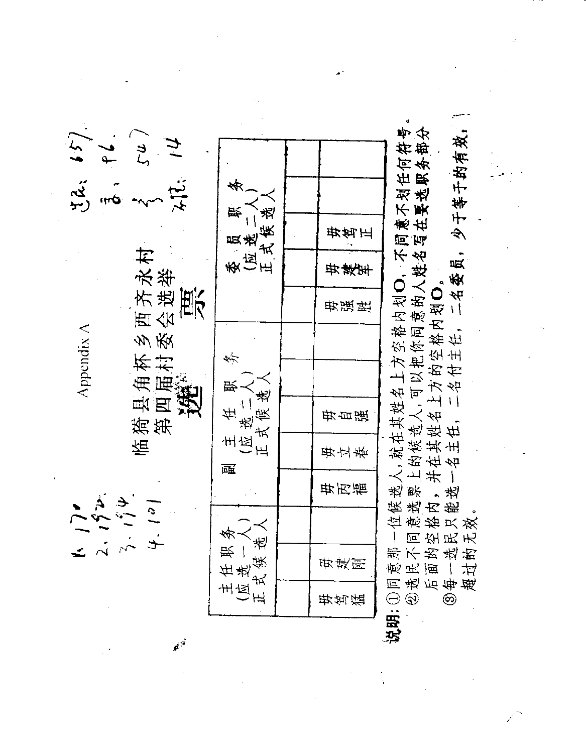| 57                        |                                 |                                       |     |                                                                 |  |
|---------------------------|---------------------------------|---------------------------------------|-----|-----------------------------------------------------------------|--|
| とん。<br>ビン                 | $\sum_{i=1}^{n}$<br>$\star$ IL: |                                       |     | 人,就在其姓名上方空格内划O,不同意不划任何符号<br>上的候选人,可以把你同意的人姓名写在要选职务部分<br>少于等于的有效 |  |
|                           |                                 | 式筷选<br>尝<br>员选                        | 毋算正 |                                                                 |  |
|                           | 多西齐永村<br>"委会选举                  | 象包品                                   | 毋建军 | 二名委员,                                                           |  |
|                           | 票                               |                                       | 毋强胜 |                                                                 |  |
| $\Delta$ ppendix $\Delta$ |                                 | 术                                     |     | 并在其姓名上方的空格内划O<br>一名主任, 二名付主任, 二名                                |  |
|                           | 县角杯<br>四届村:<br>集                | 史                                     |     |                                                                 |  |
|                           | 猗<br>第                          | 式侯选<br>$\ddot{\phantom{0}}$<br>任<br>选 | 毋自强 |                                                                 |  |
|                           | 临                               | 主应正<br>寙                              | 毋立春 |                                                                 |  |
|                           | $\mathfrak{S}$                  |                                       | 毋丙福 | 疾 越<br>数<br>数<br>内能                                             |  |
|                           |                                 |                                       |     | 位意格只效<br>同空民无                                                   |  |
|                           |                                 | 主任职务<br>亚选一人<br>式候选                   | 毋建刚 | 意民面一过那不的选出                                                      |  |
|                           |                                 | 上<br>上<br>上<br>上                      | 毋笃猛 | 说明:1回同方<br>图选上<br>图看                                            |  |
|                           |                                 |                                       |     |                                                                 |  |

 $\Delta \phi_{\rm{max}}$ 

 $\label{eq:2} \begin{split} S_{\text{max}} &= \frac{1}{N} \sum_{\substack{\text{min} \\ \text{min} \; \text{min} \; \text{min} \; \text{min} \; \text{min} \; \text{min} \; \text{min} \; \text{min} \; \text{min} \; \text{min} \; \text{min} \; \text{min} \; \text{min} \; \text{min} \; \text{min} \; \text{min} \; \text{min} \; \text{min} \; \text{min} \; \text{min} \; \text{min} \; \text{min} \; \text{min} \; \text{min} \; \text{min} \; \text{min} \$ 

 $\frac{1}{2} \frac{1}{2} \frac{1}{2} \frac{1}{2}$ 

 $\mathbb{R}^{3^2}$  .

 $\mathcal{A}^{\mathcal{A}}$ 

 $\label{eq:2} \frac{1}{2}\sum_{i=1}^n\frac{1}{2}\sum_{j=1}^n\frac{1}{2}\sum_{j=1}^n\frac{1}{2}\sum_{j=1}^n\frac{1}{2}\sum_{j=1}^n\frac{1}{2}\sum_{j=1}^n\frac{1}{2}\sum_{j=1}^n\frac{1}{2}\sum_{j=1}^n\frac{1}{2}\sum_{j=1}^n\frac{1}{2}\sum_{j=1}^n\frac{1}{2}\sum_{j=1}^n\frac{1}{2}\sum_{j=1}^n\frac{1}{2}\sum_{j=1}^n\frac{1}{2}\sum_{j=1}^n\frac{$ 

 $\mathcal{L}^{\text{max}}_{\text{max}}$ 

 $\frac{1}{2} \sum_{i=1}^n \frac{1}{2} \sum_{j=1}^n \frac{1}{2} \sum_{j=1}^n \frac{1}{2} \sum_{j=1}^n \frac{1}{2} \sum_{j=1}^n \frac{1}{2} \sum_{j=1}^n \frac{1}{2} \sum_{j=1}^n \frac{1}{2} \sum_{j=1}^n \frac{1}{2} \sum_{j=1}^n \frac{1}{2} \sum_{j=1}^n \frac{1}{2} \sum_{j=1}^n \frac{1}{2} \sum_{j=1}^n \frac{1}{2} \sum_{j=1}^n \frac{1}{2} \sum_{j=$ 

 $\label{eq:2.1} \frac{1}{\sqrt{2}}\left(\frac{1}{\sqrt{2}}\right)^{2} \left(\frac{1}{\sqrt{2}}\right)^{2} \left(\frac{1}{\sqrt{2}}\right)^{2} \left(\frac{1}{\sqrt{2}}\right)^{2} \left(\frac{1}{\sqrt{2}}\right)^{2} \left(\frac{1}{\sqrt{2}}\right)^{2} \left(\frac{1}{\sqrt{2}}\right)^{2} \left(\frac{1}{\sqrt{2}}\right)^{2} \left(\frac{1}{\sqrt{2}}\right)^{2} \left(\frac{1}{\sqrt{2}}\right)^{2} \left(\frac{1}{\sqrt{2}}\right)^{2} \left(\$ 

 $\label{eq:2.1} \frac{1}{\sqrt{2}}\sum_{i=1}^n\frac{1}{\sqrt{2}}\left(\frac{1}{\sqrt{2}}\sum_{i=1}^n\frac{1}{\sqrt{2}}\sum_{i=1}^n\frac{1}{\sqrt{2}}\sum_{i=1}^n\frac{1}{\sqrt{2}}\sum_{i=1}^n\frac{1}{\sqrt{2}}\sum_{i=1}^n\frac{1}{\sqrt{2}}\sum_{i=1}^n\frac{1}{\sqrt{2}}\sum_{i=1}^n\frac{1}{\sqrt{2}}\sum_{i=1}^n\frac{1}{\sqrt{2}}\sum_{i=1}^n\frac{1}{\sqrt{2$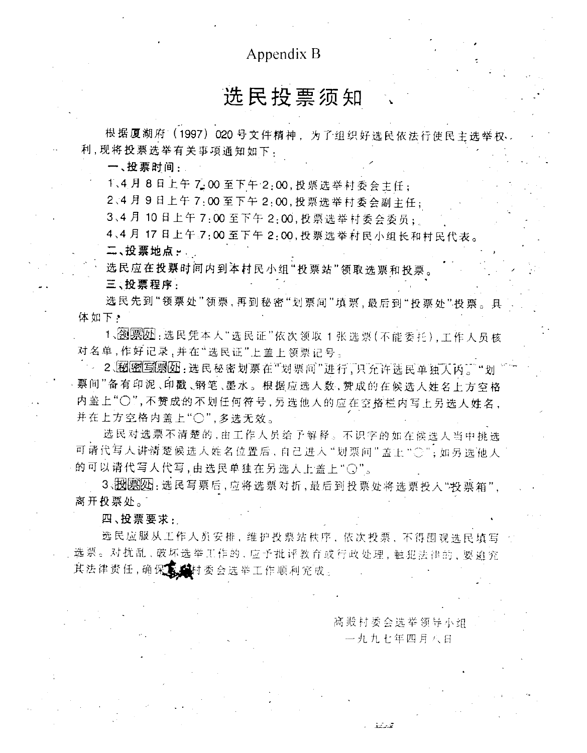### Appendix B

## 选民投票须知

根据厦湖府 (1997) 020号文件精神, 为了组织好选民依法行使民主选举权 利.现将投票选举有关事项通知如下,

一、投票时间:

1、4月8日上午7:00至下午2:00,投票选举村委会主任;

2、4月9日上午7:00至下午2:00,投票选举村委会副主任;

3、4月10日上午7:00至下午2:00,投票选举村委会委员;

4、4月17日上午了:00至下午2:00,投票选举村民小组长和村民代表。 二、投票地点。

选民应在投票时间内到本村民小组"投票站"领取选票和投票

三、投票程序

选民先到"领票处"领票,再到秘密"划票间"填票,最后到"投票处"投票。具 体如下。

1、函票20:选民凭本人"选民证"依次领取1张选票(不能委托),工作人员核 对名单,作好记录,并在"选民证"上盖上领票记号。

2. 2. 网图写图如: 选民秘密划票在"划票问"进行,只允许选民单独人内。"划 票间"备有印泥、印戳、钢笔、墨水。根据应选人数, 赞成的在候选人姓名上方空格 内盖上"○",不赞成的不划任何符号,另选他人的应在空格栏内写上另选人姓名, 并在上方空格内盖上"〇",多选无效。

选民对选票不清楚的,由工作人员给予解释。不识字的如在候选人当中挑选 可请代写人讲清楚候选人姓名位置后,自己进入"划票问"盖上"〇";如另选他人 的可以请代写人代写,由选民单独在另选人上盖上"〇"。

3、股関网: 选民写票后, 应将选票对折, 最后到投票处将选票投入"投票箱", 离开投票处。

四、投票要求:

选民应服从工作人员安排,维护投票站秩序,依次投票,不得围观选民填写 选票。对扰乱、破坏选举工作的,应予批评教育或行政处理,触犯法律的,要追究 其法律责任,确保意。 **墓**村委会选举工作顺利完成。

高殿村委会选举领导小组

一九九七年四月八日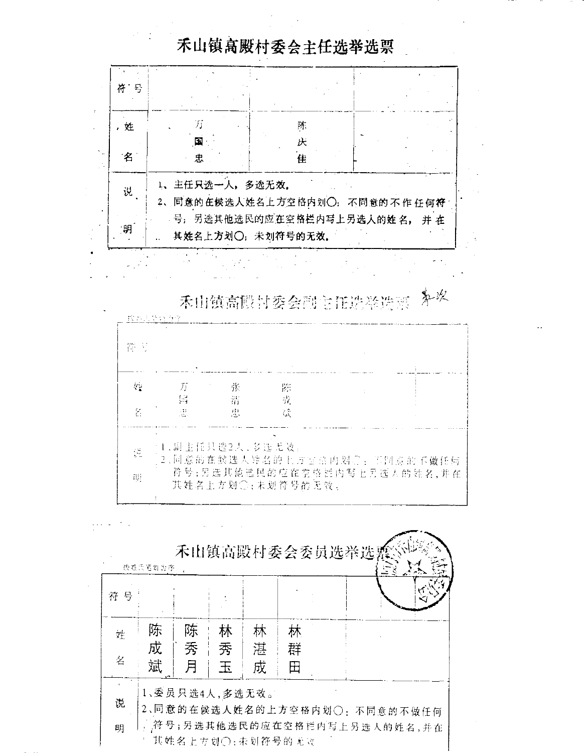| 목  |                  |   |                              |
|----|------------------|---|------------------------------|
| ,姓 |                  | 陈 |                              |
|    |                  | 庆 |                              |
| 名  | 忠                | 佳 |                              |
|    |                  |   |                              |
|    | 1、主任只选一人,多选无效,   |   |                              |
| 说  |                  |   | 2、同意的在候选人姓名上方空格内划〇;不同意的不作任何符 |
| 明  | 其姓名上方划〇;未划符号的无效。 |   | 号;另选其他选民的应在空格栏内写上另选人的姓名, 并在  |

禾山镇高殿村委会主任选举选票

禾山镇高段村委会副主任选举选票 外收

| 帶 別           |                   |                   |     |                              |  |
|---------------|-------------------|-------------------|-----|------------------------------|--|
|               |                   |                   |     |                              |  |
| $\mu_{\rm B}$ | - Jf              | 张                 | 陈   |                              |  |
|               | 菌                 | $\frac{1}{11}$    | -57 |                              |  |
| 密             | in 1990.<br>Sedan | $\pm 11$          | 馈   |                              |  |
|               |                   |                   |     |                              |  |
|               |                   | (1、副主任只选2人, 多选无效。 |     |                              |  |
| 뜭             |                   |                   |     | 2、问意的在候选人钟名的上方空意内划心:不同意的不做任何 |  |

|    | 按姓氏范司为序 |                |   |   |                               |  |  |
|----|---------|----------------|---|---|-------------------------------|--|--|
| 符号 |         |                |   |   |                               |  |  |
| 姓  | 陈       | 陈              | 林 | 林 | 林                             |  |  |
|    | 成       | `秀             | 秀 | 湛 | 群                             |  |  |
| 名  | 斌       | 月              | 玉 | 戍 | 田                             |  |  |
|    |         | 1、委员只选4人,多选无效。 |   |   |                               |  |  |
| 说  |         |                |   |   | 2、同意的在候选人姓名的上方空格内划〇: 不同意的不做任何 |  |  |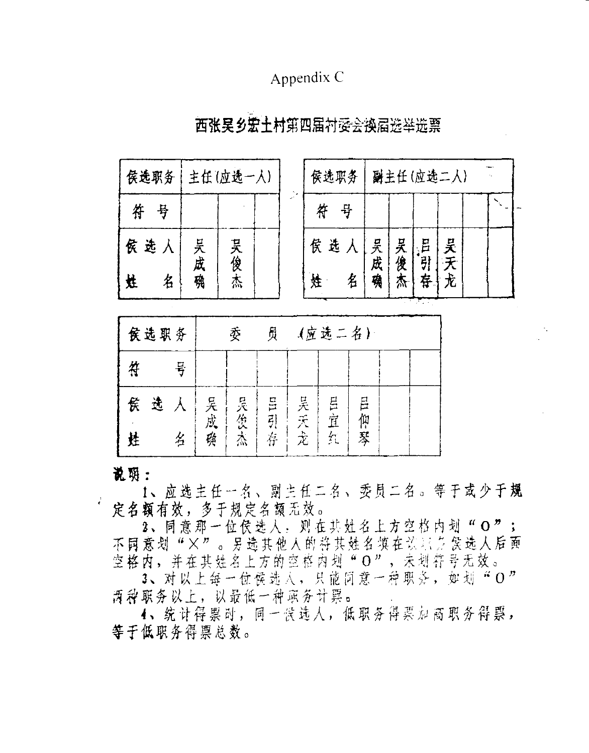### Appendix C

| 侯选职务   | 主任(应选一人)    |     | 侯选职务   |        |    |                | 副主任(应选二人) |  |
|--------|-------------|-----|--------|--------|----|----------------|-----------|--|
| 符<br>号 |             |     | 符<br>뮦 |        |    |                |           |  |
| 侯选人    | 븟<br>,<br>成 |     | 侯选人    | 吴成     | 吴俊 | 吕<br>$\vec{5}$ | 吴天        |  |
| 名<br>娃 | 鴀           | 吴俊杰 | 姓      | 執<br>名 |    | 存              | 尤         |  |
|        |             |     |        |        |    |                |           |  |

### 西张吴乡宏土村第四届村委会换届选举选票

|   | 侯选职务 |   |    | 委   | 员     |    | (应选二名) |        |  |
|---|------|---|----|-----|-------|----|--------|--------|--|
| 符 |      | 뮹 |    |     |       |    |        |        |  |
| 贫 | 选    |   | 吴成 |     | EI HE | 吴天 | 且宜     | 吕      |  |
| 姓 |      | 名 | 缫  | 吴俊杰 | 存     | 赱  | 欠      | 仰<br>琴 |  |

说明:

1、应选主任一名、副主任二名、委员二名。等于或少于规 使名额有效,多于规定名额无效。

2、同意那一位侯选人, 则在共灶名上方空格内划"O"; 不同意划"×"。另选其他人的将其姓名填在谈社方侯选人后面<br>空格内,并在其姓名上方的空格内划"O",未划符号无效。

3、对以上每一位侯选入,只能同意一种职务,如划"O" 西种职务以上,以最低一种职务计票。

4、统计得票时,同一侯选人,低职务得票加高职务得票, 等于低职务得票总数。